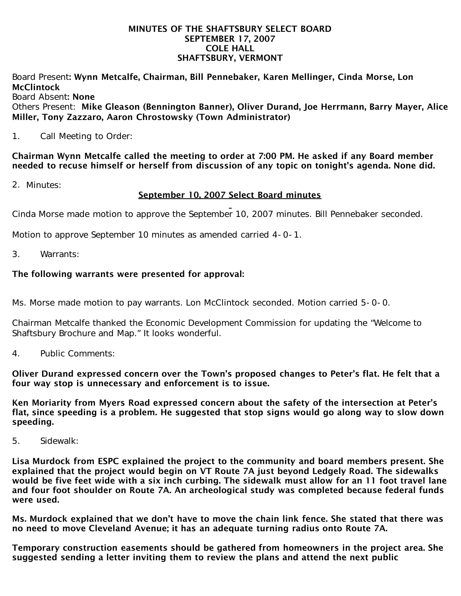### MINUTES OF THE SHAFTSBURY SELECT BOARD SEPTEMBER 17, 2007 COLE HALL SHAFTSBURY, VERMONT

Board Present: Wynn Metcalfe, Chairman, Bill Pennebaker, Karen Mellinger, Cinda Morse, Lon **McClintock** 

Board Absent: None

Others Present: Mike Gleason (Bennington Banner), Oliver Durand, Joe Herrmann, Barry Mayer, Alice Miller, Tony Zazzaro, Aaron Chrostowsky (Town Administrator)

1. Call Meeting to Order:

Chairman Wynn Metcalfe called the meeting to order at 7:00 PM. He asked if any Board member needed to recuse himself or herself from discussion of any topic on tonight's agenda. None did.

2. Minutes:

## September 10, 2007 Select Board minutes

Cinda Morse made motion to approve the September 10, 2007 minutes. Bill Pennebaker seconded.

Motion to approve September 10 minutes as amended carried 4-0-1.

3. Warrants:

## The following warrants were presented for approval:

Ms. Morse made motion to pay warrants. Lon McClintock seconded. Motion carried 5-0-0.

Chairman Metcalfe thanked the Economic Development Commission for updating the "Welcome to Shaftsbury Brochure and Map." It looks wonderful.

4. Public Comments:

Oliver Durand expressed concern over the Town's proposed changes to Peter's flat. He felt that a four way stop is unnecessary and enforcement is to issue.

Ken Moriarity from Myers Road expressed concern about the safety of the intersection at Peter's flat, since speeding is a problem. He suggested that stop signs would go along way to slow down speeding.

5. Sidewalk:

Lisa Murdock from ESPC explained the project to the community and board members present. She explained that the project would begin on VT Route 7A just beyond Ledgely Road. The sidewalks would be five feet wide with a six inch curbing. The sidewalk must allow for an 11 foot travel lane and four foot shoulder on Route 7A. An archeological study was completed because federal funds were used.

Ms. Murdock explained that we don't have to move the chain link fence. She stated that there was no need to move Cleveland Avenue; it has an adequate turning radius onto Route 7A.

Temporary construction easements should be gathered from homeowners in the project area. She suggested sending a letter inviting them to review the plans and attend the next public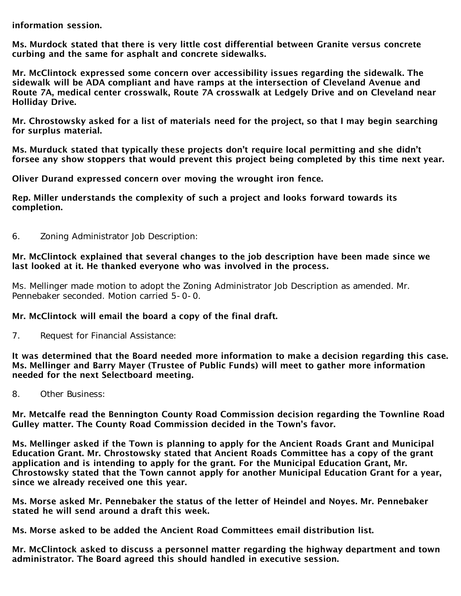information session.

Ms. Murdock stated that there is very little cost differential between Granite versus concrete curbing and the same for asphalt and concrete sidewalks.

Mr. McClintock expressed some concern over accessibility issues regarding the sidewalk. The sidewalk will be ADA compliant and have ramps at the intersection of Cleveland Avenue and Route 7A, medical center crosswalk, Route 7A crosswalk at Ledgely Drive and on Cleveland near Holliday Drive.

Mr. Chrostowsky asked for a list of materials need for the project, so that I may begin searching for surplus material.

Ms. Murduck stated that typically these projects don't require local permitting and she didn't forsee any show stoppers that would prevent this project being completed by this time next year.

Oliver Durand expressed concern over moving the wrought iron fence.

Rep. Miller understands the complexity of such a project and looks forward towards its completion.

6. Zoning Administrator Job Description:

## Mr. McClintock explained that several changes to the job description have been made since we last looked at it. He thanked everyone who was involved in the process.

Ms. Mellinger made motion to adopt the Zoning Administrator Job Description as amended. Mr. Pennebaker seconded. Motion carried 5-0-0.

# Mr. McClintock will email the board a copy of the final draft.

7. Request for Financial Assistance:

It was determined that the Board needed more information to make a decision regarding this case. Ms. Mellinger and Barry Mayer (Trustee of Public Funds) will meet to gather more information needed for the next Selectboard meeting.

8. Other Business:

Mr. Metcalfe read the Bennington County Road Commission decision regarding the Townline Road Gulley matter. The County Road Commission decided in the Town's favor.

Ms. Mellinger asked if the Town is planning to apply for the Ancient Roads Grant and Municipal Education Grant. Mr. Chrostowsky stated that Ancient Roads Committee has a copy of the grant application and is intending to apply for the grant. For the Municipal Education Grant, Mr. Chrostowsky stated that the Town cannot apply for another Municipal Education Grant for a year, since we already received one this year.

Ms. Morse asked Mr. Pennebaker the status of the letter of Heindel and Noyes. Mr. Pennebaker stated he will send around a draft this week.

Ms. Morse asked to be added the Ancient Road Committees email distribution list.

Mr. McClintock asked to discuss a personnel matter regarding the highway department and town administrator. The Board agreed this should handled in executive session.